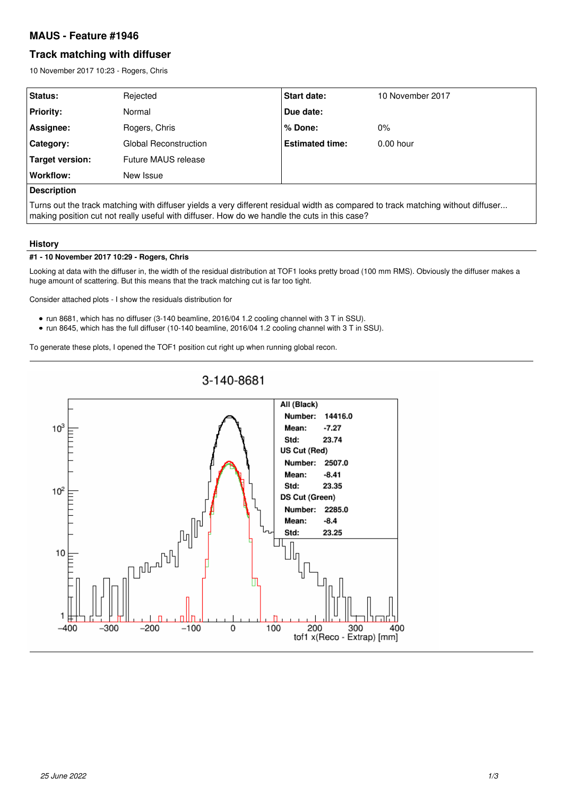## **MAUS - Feature #1946**

# **Track matching with diffuser**

10 November 2017 10:23 - Rogers, Chris

| Status:                | Rejected              | <b>Start date:</b>     | 10 November 2017 |
|------------------------|-----------------------|------------------------|------------------|
| <b>Priority:</b>       | Normal                | Due date:              |                  |
| Assignee:              | Rogers, Chris         | % Done:                | $0\%$            |
| Category:              | Global Reconstruction | <b>Estimated time:</b> | $0.00$ hour      |
| <b>Target version:</b> | Future MAUS release   |                        |                  |
| Workflow:              | New Issue             |                        |                  |
| <b>Description</b>     |                       |                        |                  |

Turns out the track matching with diffuser yields a very different residual width as compared to track matching without diffuser... making position cut not really useful with diffuser. How do we handle the cuts in this case?

### **History**

#### **#1 - 10 November 2017 10:29 - Rogers, Chris**

Looking at data with the diffuser in, the width of the residual distribution at TOF1 looks pretty broad (100 mm RMS). Obviously the diffuser makes a huge amount of scattering. But this means that the track matching cut is far too tight.

Consider attached plots - I show the residuals distribution for

- run 8681, which has no diffuser (3-140 beamline, 2016/04 1.2 cooling channel with 3 T in SSU).
- run 8645, which has the full diffuser (10-140 beamline, 2016/04 1.2 cooling channel with 3 T in SSU).

To generate these plots, I opened the TOF1 position cut right up when running global recon.

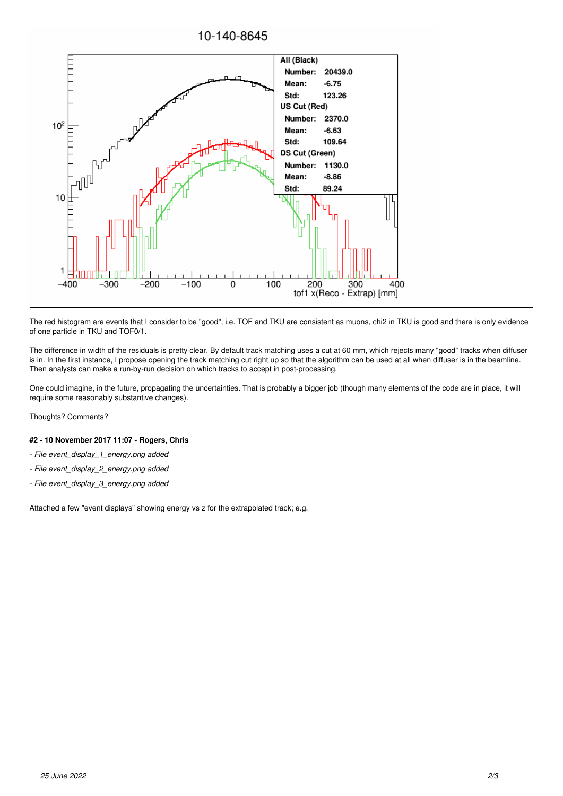

The red histogram are events that I consider to be "good", i.e. TOF and TKU are consistent as muons, chi2 in TKU is good and there is only evidence of one particle in TKU and TOF0/1.

The difference in width of the residuals is pretty clear. By default track matching uses a cut at 60 mm, which rejects many "good" tracks when diffuser is in. In the first instance, I propose opening the track matching cut right up so that the algorithm can be used at all when diffuser is in the beamline. Then analysts can make a run-by-run decision on which tracks to accept in post-processing.

One could imagine, in the future, propagating the uncertainties. That is probably a bigger job (though many elements of the code are in place, it will require some reasonably substantive changes).

Thoughts? Comments?

#### **#2 - 10 November 2017 11:07 - Rogers, Chris**

- *File event\_display\_1\_energy.png added*
- *File event\_display\_2\_energy.png added*
- *File event\_display\_3\_energy.png added*

Attached a few "event displays" showing energy vs z for the extrapolated track; e.g.